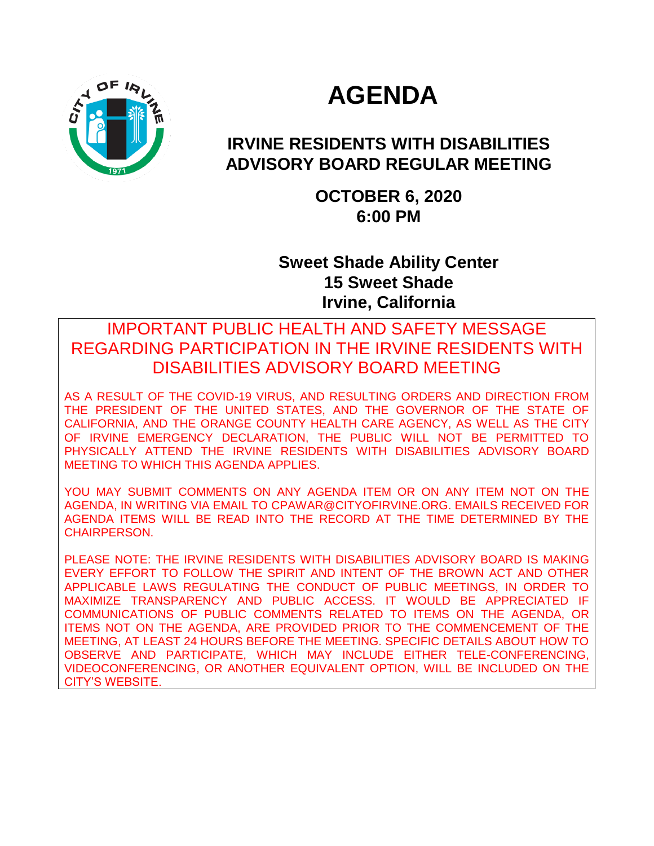

# **AGENDA**

# **IRVINE RESIDENTS WITH DISABILITIES ADVISORY BOARD REGULAR MEETING**

**OCTOBER 6, 2020 6:00 PM**

**Sweet Shade Ability Center 15 Sweet Shade Irvine, California**

### IMPORTANT PUBLIC HEALTH AND SAFETY MESSAGE REGARDING PARTICIPATION IN THE IRVINE RESIDENTS WITH DISABILITIES ADVISORY BOARD MEETING

AS A RESULT OF THE COVID-19 VIRUS, AND RESULTING ORDERS AND DIRECTION FROM THE PRESIDENT OF THE UNITED STATES, AND THE GOVERNOR OF THE STATE OF CALIFORNIA, AND THE ORANGE COUNTY HEALTH CARE AGENCY, AS WELL AS THE CITY OF IRVINE EMERGENCY DECLARATION, THE PUBLIC WILL NOT BE PERMITTED TO PHYSICALLY ATTEND THE IRVINE RESIDENTS WITH DISABILITIES ADVISORY BOARD MEETING TO WHICH THIS AGENDA APPLIES.

YOU MAY SUBMIT COMMENTS ON ANY AGENDA ITEM OR ON ANY ITEM NOT ON THE AGENDA, IN WRITING VIA EMAIL TO CPAWAR@CITYOFIRVINE.ORG. EMAILS RECEIVED FOR AGENDA ITEMS WILL BE READ INTO THE RECORD AT THE TIME DETERMINED BY THE CHAIRPERSON.

PLEASE NOTE: THE IRVINE RESIDENTS WITH DISABILITIES ADVISORY BOARD IS MAKING EVERY EFFORT TO FOLLOW THE SPIRIT AND INTENT OF THE BROWN ACT AND OTHER APPLICABLE LAWS REGULATING THE CONDUCT OF PUBLIC MEETINGS, IN ORDER TO MAXIMIZE TRANSPARENCY AND PUBLIC ACCESS. IT WOULD BE APPRECIATED IF COMMUNICATIONS OF PUBLIC COMMENTS RELATED TO ITEMS ON THE AGENDA, OR ITEMS NOT ON THE AGENDA, ARE PROVIDED PRIOR TO THE COMMENCEMENT OF THE MEETING, AT LEAST 24 HOURS BEFORE THE MEETING. SPECIFIC DETAILS ABOUT HOW TO OBSERVE AND PARTICIPATE, WHICH MAY INCLUDE EITHER TELE-CONFERENCING, VIDEOCONFERENCING, OR ANOTHER EQUIVALENT OPTION, WILL BE INCLUDED ON THE CITY'S WEBSITE.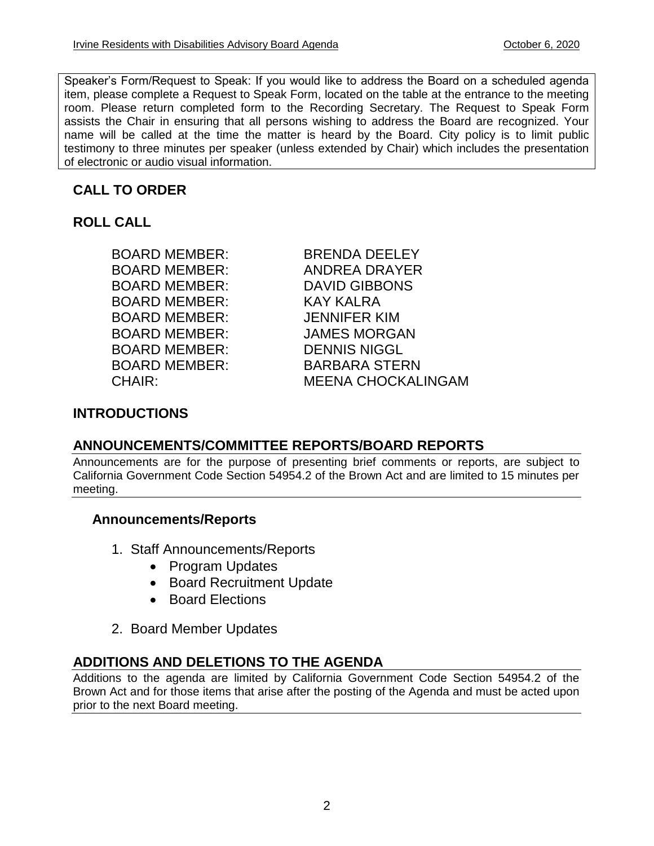Speaker's Form/Request to Speak: If you would like to address the Board on a scheduled agenda item, please complete a Request to Speak Form, located on the table at the entrance to the meeting room. Please return completed form to the Recording Secretary. The Request to Speak Form assists the Chair in ensuring that all persons wishing to address the Board are recognized. Your name will be called at the time the matter is heard by the Board. City policy is to limit public testimony to three minutes per speaker (unless extended by Chair) which includes the presentation of electronic or audio visual information.

### **CALL TO ORDER**

**ROLL CALL**

BOARD MEMBER: DAVID GIBBONS BOARD MEMBER: KAY KALRA BOARD MEMBER: JENNIFER KIM BOARD MEMBER: JAMES MORGAN BOARD MEMBER: DENNIS NIGGL

BOARD MEMBER: BRENDA DEELEY BOARD MEMBER: ANDREA DRAYER BOARD MEMBER: BARBARA STERN CHAIR: MEENA CHOCKALINGAM

### **INTRODUCTIONS**

### **ANNOUNCEMENTS/COMMITTEE REPORTS/BOARD REPORTS**

Announcements are for the purpose of presenting brief comments or reports, are subject to California Government Code Section 54954.2 of the Brown Act and are limited to 15 minutes per meeting.

### **Announcements/Reports**

- 1. Staff Announcements/Reports
	- Program Updates
	- Board Recruitment Update
	- Board Elections
- 2. Board Member Updates

### **ADDITIONS AND DELETIONS TO THE AGENDA**

Additions to the agenda are limited by California Government Code Section 54954.2 of the Brown Act and for those items that arise after the posting of the Agenda and must be acted upon prior to the next Board meeting.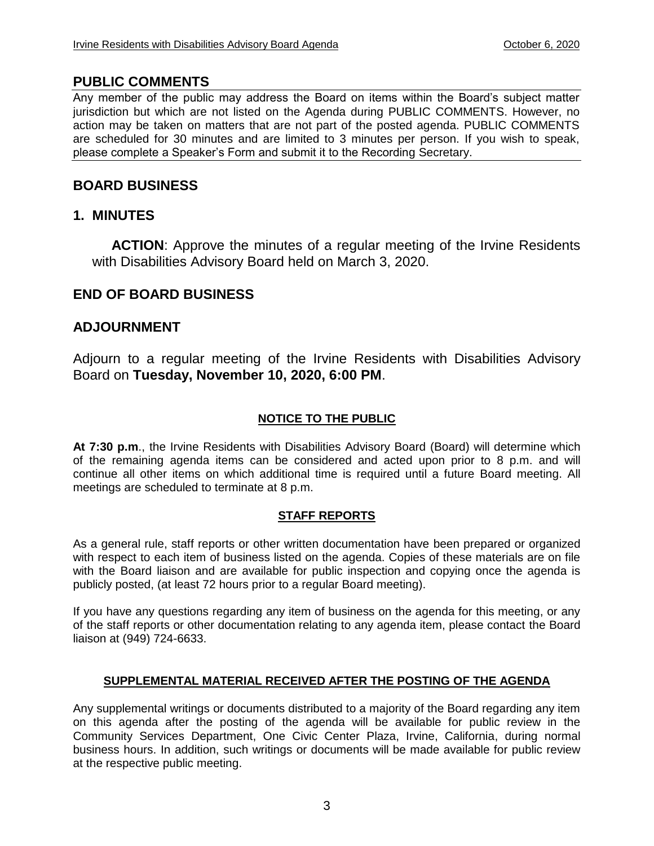### **PUBLIC COMMENTS**

Any member of the public may address the Board on items within the Board's subject matter jurisdiction but which are not listed on the Agenda during PUBLIC COMMENTS. However, no action may be taken on matters that are not part of the posted agenda. PUBLIC COMMENTS are scheduled for 30 minutes and are limited to 3 minutes per person. If you wish to speak, please complete a Speaker's Form and submit it to the Recording Secretary.

### **BOARD BUSINESS**

### **1. MINUTES**

**ACTION**: Approve the minutes of a regular meeting of the Irvine Residents with Disabilities Advisory Board held on March 3, 2020.

### **END OF BOARD BUSINESS**

### **ADJOURNMENT**

Adjourn to a regular meeting of the Irvine Residents with Disabilities Advisory Board on **Tuesday, November 10, 2020, 6:00 PM**.

### **NOTICE TO THE PUBLIC**

**At 7:30 p.m**., the Irvine Residents with Disabilities Advisory Board (Board) will determine which of the remaining agenda items can be considered and acted upon prior to 8 p.m. and will continue all other items on which additional time is required until a future Board meeting. All meetings are scheduled to terminate at 8 p.m.

### **STAFF REPORTS**

As a general rule, staff reports or other written documentation have been prepared or organized with respect to each item of business listed on the agenda. Copies of these materials are on file with the Board liaison and are available for public inspection and copying once the agenda is publicly posted, (at least 72 hours prior to a regular Board meeting).

If you have any questions regarding any item of business on the agenda for this meeting, or any of the staff reports or other documentation relating to any agenda item, please contact the Board liaison at (949) 724-6633.

### **SUPPLEMENTAL MATERIAL RECEIVED AFTER THE POSTING OF THE AGENDA**

Any supplemental writings or documents distributed to a majority of the Board regarding any item on this agenda after the posting of the agenda will be available for public review in the Community Services Department, One Civic Center Plaza, Irvine, California, during normal business hours. In addition, such writings or documents will be made available for public review at the respective public meeting.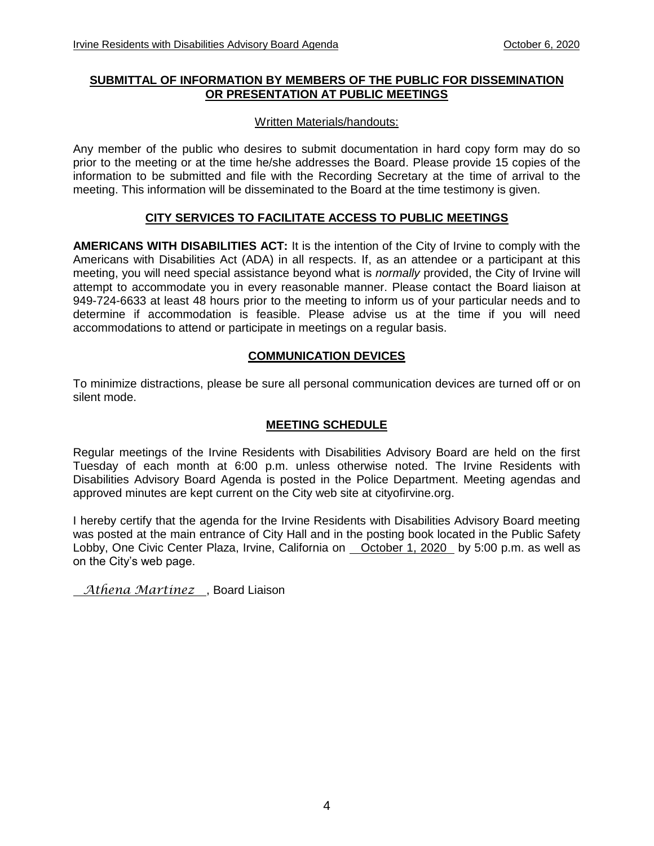### **SUBMITTAL OF INFORMATION BY MEMBERS OF THE PUBLIC FOR DISSEMINATION OR PRESENTATION AT PUBLIC MEETINGS**

### Written Materials/handouts:

Any member of the public who desires to submit documentation in hard copy form may do so prior to the meeting or at the time he/she addresses the Board. Please provide 15 copies of the information to be submitted and file with the Recording Secretary at the time of arrival to the meeting. This information will be disseminated to the Board at the time testimony is given.

### **CITY SERVICES TO FACILITATE ACCESS TO PUBLIC MEETINGS**

**AMERICANS WITH DISABILITIES ACT:** It is the intention of the City of Irvine to comply with the Americans with Disabilities Act (ADA) in all respects. If, as an attendee or a participant at this meeting, you will need special assistance beyond what is *normally* provided, the City of Irvine will attempt to accommodate you in every reasonable manner. Please contact the Board liaison at 949-724-6633 at least 48 hours prior to the meeting to inform us of your particular needs and to determine if accommodation is feasible. Please advise us at the time if you will need accommodations to attend or participate in meetings on a regular basis.

### **COMMUNICATION DEVICES**

To minimize distractions, please be sure all personal communication devices are turned off or on silent mode.

### **MEETING SCHEDULE**

Regular meetings of the Irvine Residents with Disabilities Advisory Board are held on the first Tuesday of each month at 6:00 p.m. unless otherwise noted. The Irvine Residents with Disabilities Advisory Board Agenda is posted in the Police Department. Meeting agendas and approved minutes are kept current on the City web site at cityofirvine.org.

I hereby certify that the agenda for the Irvine Residents with Disabilities Advisory Board meeting was posted at the main entrance of City Hall and in the posting book located in the Public Safety Lobby, One Civic Center Plaza, Irvine, California on October 1, 2020 by 5:00 p.m. as well as on the City's web page.

*Athena Martinez* , Board Liaison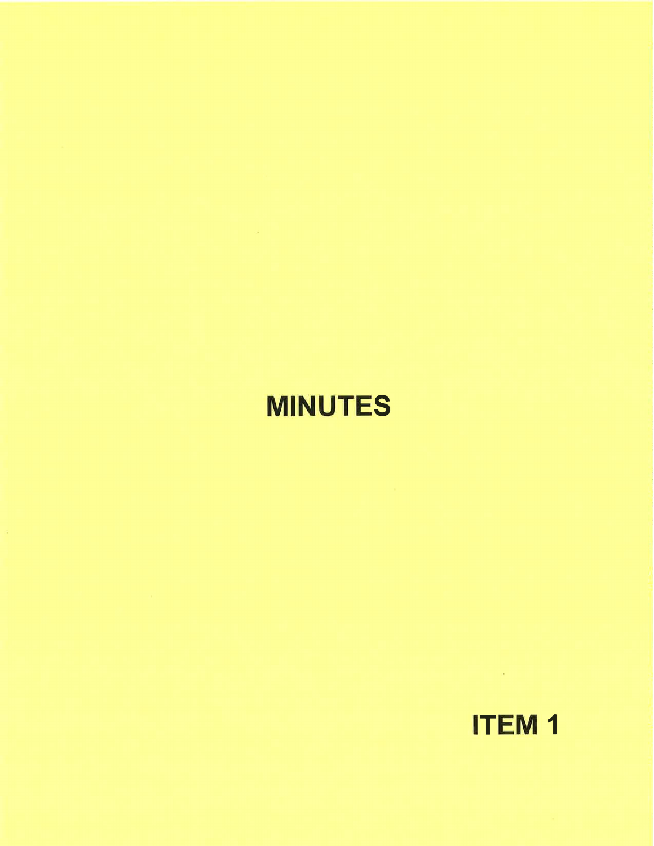# **MINUTES**



 $\mathcal{A}^{\text{max}}$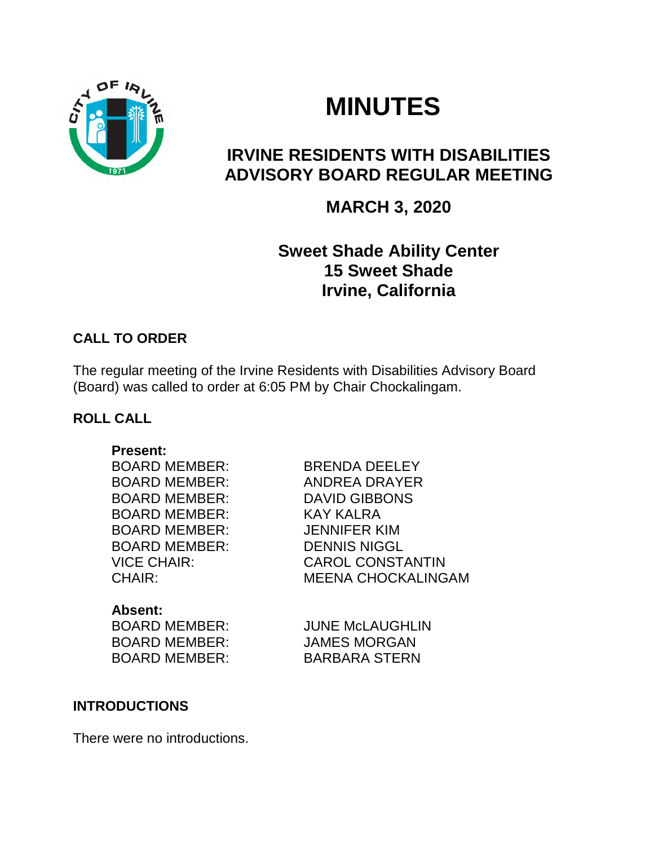

# **MINUTES**

# **IRVINE RESIDENTS WITH DISABILITIES ADVISORY BOARD REGULAR MEETING**

## **MARCH 3, 2020**

# **Sweet Shade Ability Center 15 Sweet Shade Irvine, California**

### **CALL TO ORDER**

The regular meeting of the Irvine Residents with Disabilities Advisory Board (Board) was called to order at 6:05 PM by Chair Chockalingam.

### **ROLL CALL**

**Present:** BOARD MEMBER: BRENDA DEELEY

BOARD MEMBER: DAVID GIBBONS BOARD MEMBER: KAY KALRA BOARD MEMBER: JENNIFER KIM BOARD MEMBER: DENNIS NIGGL

BOARD MEMBER: ANDREA DRAYER VICE CHAIR: CAROL CONSTANTIN CHAIR: MEENA CHOCKALINGAM

**Absent:** BOARD MEMBER: JAMES MORGAN BOARD MEMBER: BARBARA STERN

BOARD MEMBER: JUNE McLAUGHLIN

### **INTRODUCTIONS**

There were no introductions.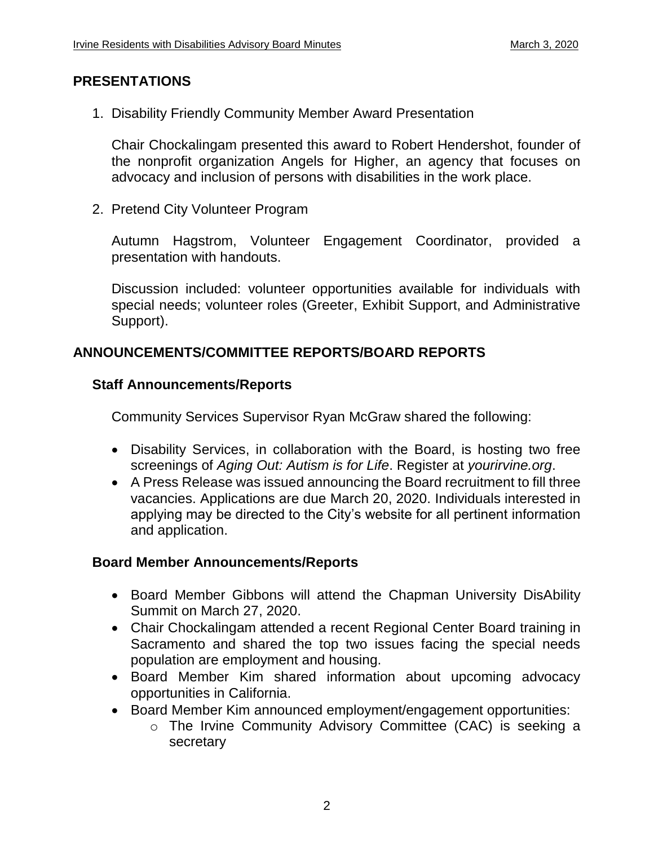### **PRESENTATIONS**

1. Disability Friendly Community Member Award Presentation

Chair Chockalingam presented this award to Robert Hendershot, founder of the nonprofit organization Angels for Higher, an agency that focuses on advocacy and inclusion of persons with disabilities in the work place.

2. Pretend City Volunteer Program

Autumn Hagstrom, Volunteer Engagement Coordinator, provided a presentation with handouts.

Discussion included: volunteer opportunities available for individuals with special needs; volunteer roles (Greeter, Exhibit Support, and Administrative Support).

### **ANNOUNCEMENTS/COMMITTEE REPORTS/BOARD REPORTS**

### **Staff Announcements/Reports**

Community Services Supervisor Ryan McGraw shared the following:

- Disability Services, in collaboration with the Board, is hosting two free screenings of *Aging Out: Autism is for Life*. Register at *yourirvine.org*.
- A Press Release was issued announcing the Board recruitment to fill three vacancies. Applications are due March 20, 2020. Individuals interested in applying may be directed to the City's website for all pertinent information and application.

### **Board Member Announcements/Reports**

- Board Member Gibbons will attend the Chapman University DisAbility Summit on March 27, 2020.
- Chair Chockalingam attended a recent Regional Center Board training in Sacramento and shared the top two issues facing the special needs population are employment and housing.
- Board Member Kim shared information about upcoming advocacy opportunities in California.
- Board Member Kim announced employment/engagement opportunities:
	- o The Irvine Community Advisory Committee (CAC) is seeking a secretary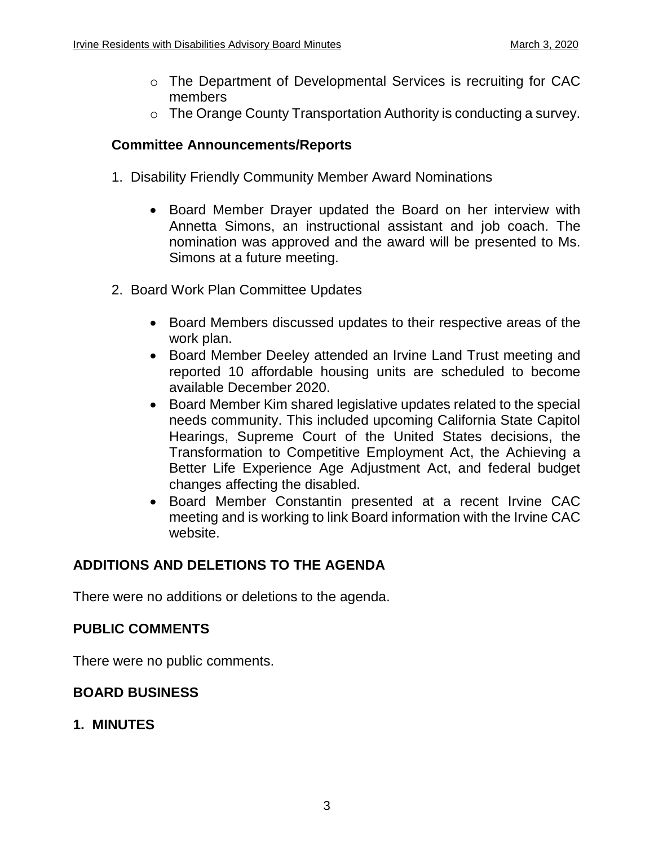- o The Department of Developmental Services is recruiting for CAC members
- o The Orange County Transportation Authority is conducting a survey.

### **Committee Announcements/Reports**

- 1. Disability Friendly Community Member Award Nominations
	- Board Member Drayer updated the Board on her interview with Annetta Simons, an instructional assistant and job coach. The nomination was approved and the award will be presented to Ms. Simons at a future meeting.
- 2. Board Work Plan Committee Updates
	- Board Members discussed updates to their respective areas of the work plan.
	- Board Member Deeley attended an Irvine Land Trust meeting and reported 10 affordable housing units are scheduled to become available December 2020.
	- Board Member Kim shared legislative updates related to the special needs community. This included upcoming California State Capitol Hearings, Supreme Court of the United States decisions, the Transformation to Competitive Employment Act, the Achieving a Better Life Experience Age Adjustment Act, and federal budget changes affecting the disabled.
	- Board Member Constantin presented at a recent Irvine CAC meeting and is working to link Board information with the Irvine CAC website.

### **ADDITIONS AND DELETIONS TO THE AGENDA**

There were no additions or deletions to the agenda.

### **PUBLIC COMMENTS**

There were no public comments.

### **BOARD BUSINESS**

### **1. MINUTES**